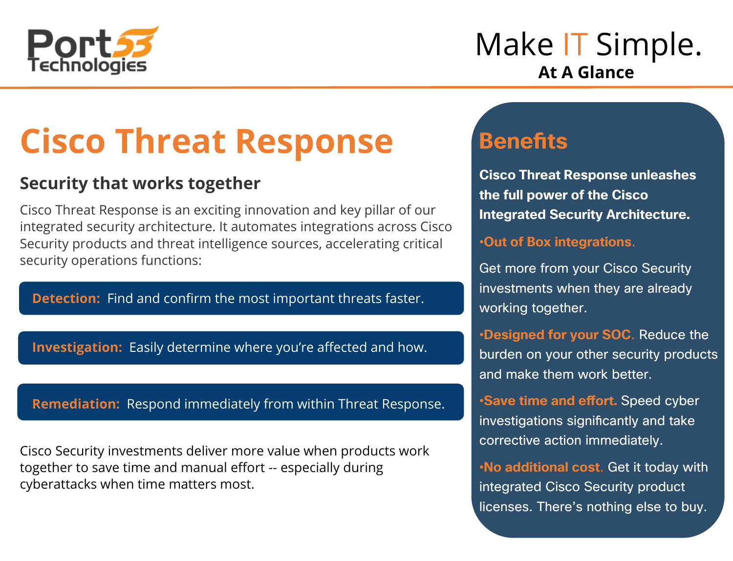

## Make **IT** Simple. **At A Glance**

# **Cisco Threat Response**

#### **Security that works together**

Cisco Threat Response is an exciting innovation and key pillar of our integrated security architecture. It automates integrations across Cisco Security products and threat intelligence sources, accelerating critical security operations functions:

**Detection:** Find and confirm the most important threats faster.

**Investigation:** Easily determine where you're affected and how.

**Remediation:** Respond immediately from within Threat Response.

Cisco Security investments deliver more value when products work together to save time and manual effort -- especially during cyberattacks when time matters most.

### **Benefits**

**Cisco Threat Response unleashes the full power of the Cisco Integrated Security Architecture.** 

•**Out of Box integrations**.

Get more from your Cisco Security investments when they are already working together.

•**Designed for your SOC**. Reduce the burden on your other security products and make them work better.

•**Save time and effort.** Speed cyber investigations significantly and take corrective action immediately.

•**No additional cost**. Get it today with integrated Cisco Security product licenses. There's nothing else to buy.